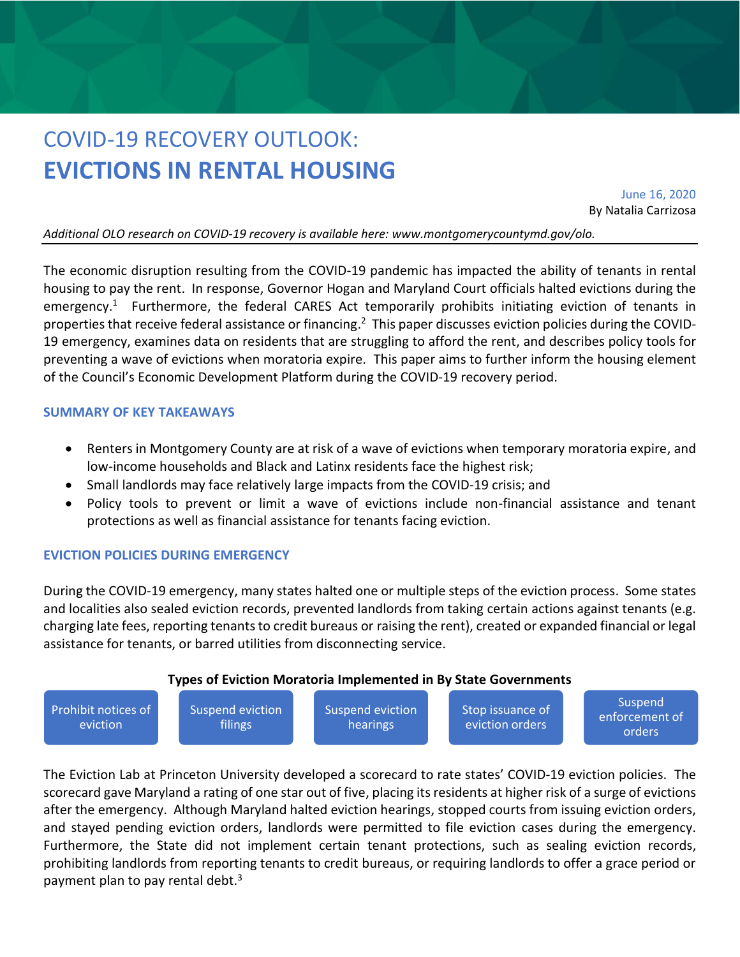# COVID-19 RECOVERY OUTLOOK: **EVICTIONS IN RENTAL HOUSING**

June 16, 2020 By Natalia Carrizosa

*Additional OLO research on COVID-19 recovery is available here: www.montgomerycountymd.gov/olo.*

The economic disruption resulting from the COVID-19 pandemic has impacted the ability of tenants in rental housing to pay the rent. In response, Governor Hogan and Maryland Court officials halted evictions during the emergency.<sup>1</sup> Furthermore, the federal CARES Act temporarily prohibits initiating eviction of tenants in properties that receive federal assistance or financing.<sup>2</sup> This paper discusses eviction policies during the COVID-19 emergency, examines data on residents that are struggling to afford the rent, and describes policy tools for preventing a wave of evictions when moratoria expire. This paper aims to further inform the housing element of the Council's Economic Development Platform during the COVID-19 recovery period.

#### **SUMMARY OF KEY TAKEAWAYS**

- Renters in Montgomery County are at risk of a wave of evictions when temporary moratoria expire, and low-income households and Black and Latinx residents face the highest risk;
- Small landlords may face relatively large impacts from the COVID-19 crisis; and
- Policy tools to prevent or limit a wave of evictions include non-financial assistance and tenant protections as well as financial assistance for tenants facing eviction.

## **EVICTION POLICIES DURING EMERGENCY**

During the COVID-19 emergency, many states halted one or multiple steps of the eviction process. Some states and localities also sealed eviction records, prevented landlords from taking certain actions against tenants (e.g. charging late fees, reporting tenants to credit bureaus or raising the rent), created or expanded financial or legal assistance for tenants, or barred utilities from disconnecting service.





The Eviction Lab at Princeton University developed a scorecard to rate states' COVID-19 eviction policies. The scorecard gave Maryland a rating of one star out of five, placing its residents at higher risk of a surge of evictions after the emergency. Although Maryland halted eviction hearings, stopped courts from issuing eviction orders, and stayed pending eviction orders, landlords were permitted to file eviction cases during the emergency. Furthermore, the State did not implement certain tenant protections, such as sealing eviction records, prohibiting landlords from reporting tenants to credit bureaus, or requiring landlords to offer a grace period or payment plan to pay rental debt.<sup>3</sup>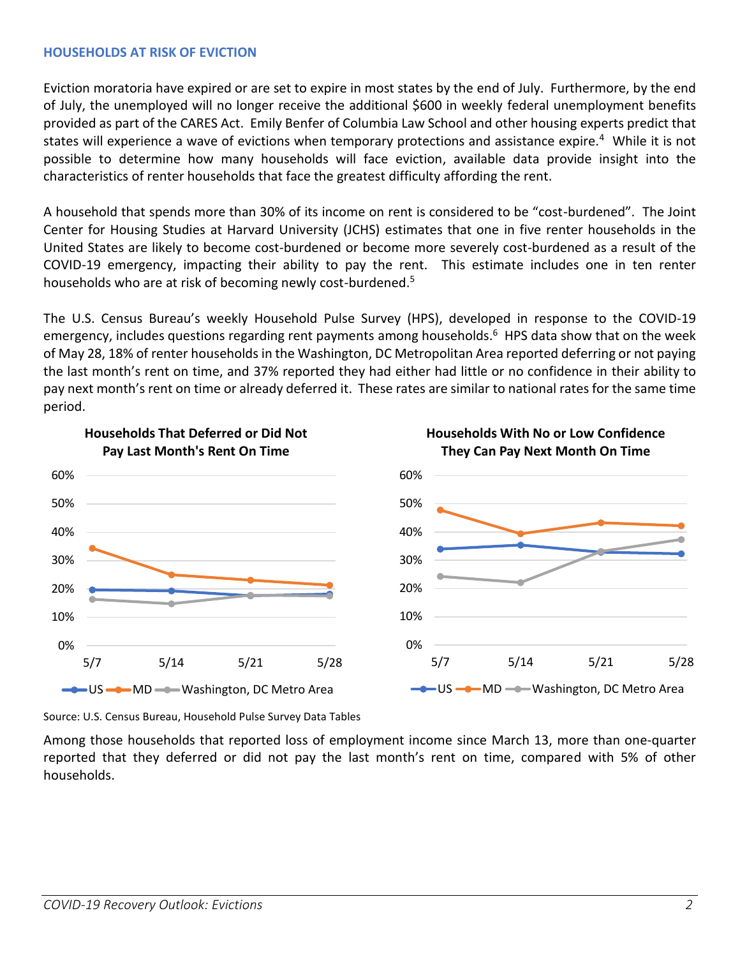## **HOUSEHOLDS AT RISK OF EVICTION**

Eviction moratoria have expired or are set to expire in most states by the end of July. Furthermore, by the end of July, the unemployed will no longer receive the additional \$600 in weekly federal unemployment benefits provided as part of the CARES Act. Emily Benfer of Columbia Law School and other housing experts predict that states will experience a wave of evictions when temporary protections and assistance expire.<sup>4</sup> While it is not possible to determine how many households will face eviction, available data provide insight into the characteristics of renter households that face the greatest difficulty affording the rent.

A household that spends more than 30% of its income on rent is considered to be "cost-burdened". The Joint Center for Housing Studies at Harvard University (JCHS) estimates that one in five renter households in the United States are likely to become cost-burdened or become more severely cost-burdened as a result of the COVID-19 emergency, impacting their ability to pay the rent. This estimate includes one in ten renter households who are at risk of becoming newly cost-burdened.<sup>5</sup>

The U.S. Census Bureau's weekly Household Pulse Survey (HPS), developed in response to the COVID-19 emergency, includes questions regarding rent payments among households. 6 HPS data show that on the week of May 28, 18% of renter households in the Washington, DC Metropolitan Area reported deferring or not paying the last month's rent on time, and 37% reported they had either had little or no confidence in their ability to pay next month's rent on time or already deferred it. These rates are similar to national rates for the same time period.



Source: U.S. Census Bureau, Household Pulse Survey Data Tables

Among those households that reported loss of employment income since March 13, more than one-quarter reported that they deferred or did not pay the last month's rent on time, compared with 5% of other households.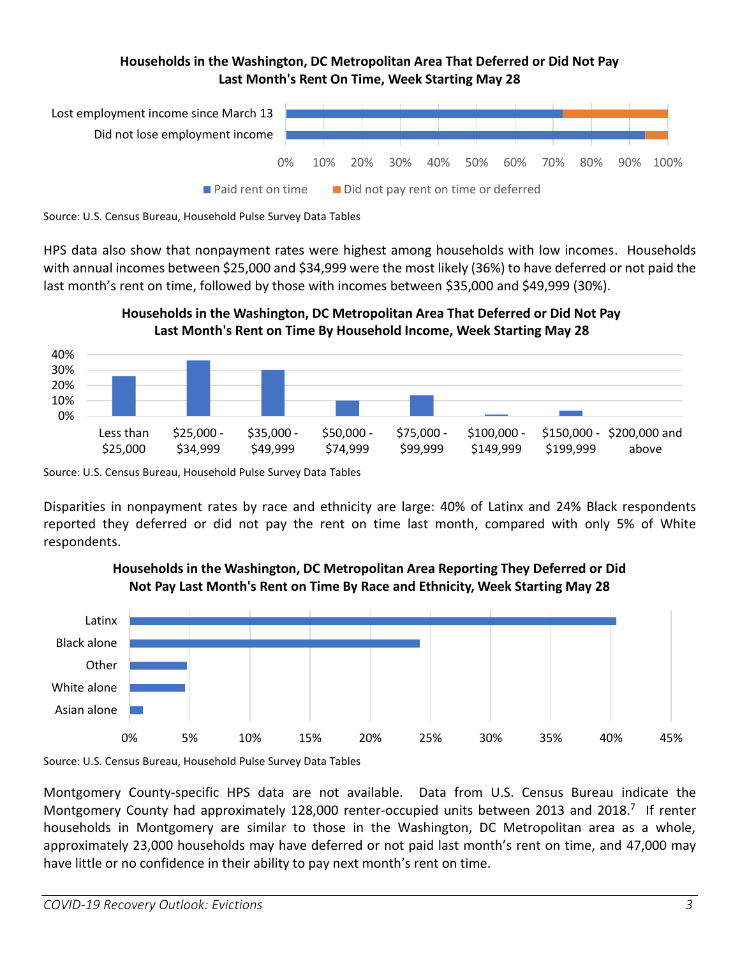# **Households in the Washington, DC Metropolitan Area That Deferred or Did Not Pay Last Month's Rent On Time, Week Starting May 28**





HPS data also show that nonpayment rates were highest among households with low incomes. Households with annual incomes between \$25,000 and \$34,999 were the most likely (36%) to have deferred or not paid the last month's rent on time, followed by those with incomes between \$35,000 and \$49,999 (30%).





Disparities in nonpayment rates by race and ethnicity are large: 40% of Latinx and 24% Black respondents reported they deferred or did not pay the rent on time last month, compared with only 5% of White respondents.



# **Households in the Washington, DC Metropolitan Area Reporting They Deferred or Did Not Pay Last Month's Rent on Time By Race and Ethnicity, Week Starting May 28**

Source: U.S. Census Bureau, Household Pulse Survey Data Tables

Montgomery County-specific HPS data are not available. Data from U.S. Census Bureau indicate the Montgomery County had approximately 128,000 renter-occupied units between 2013 and 2018.<sup>7</sup> If renter households in Montgomery are similar to those in the Washington, DC Metropolitan area as a whole, approximately 23,000 households may have deferred or not paid last month's rent on time, and 47,000 may have little or no confidence in their ability to pay next month's rent on time.

Source: U.S. Census Bureau, Household Pulse Survey Data Tables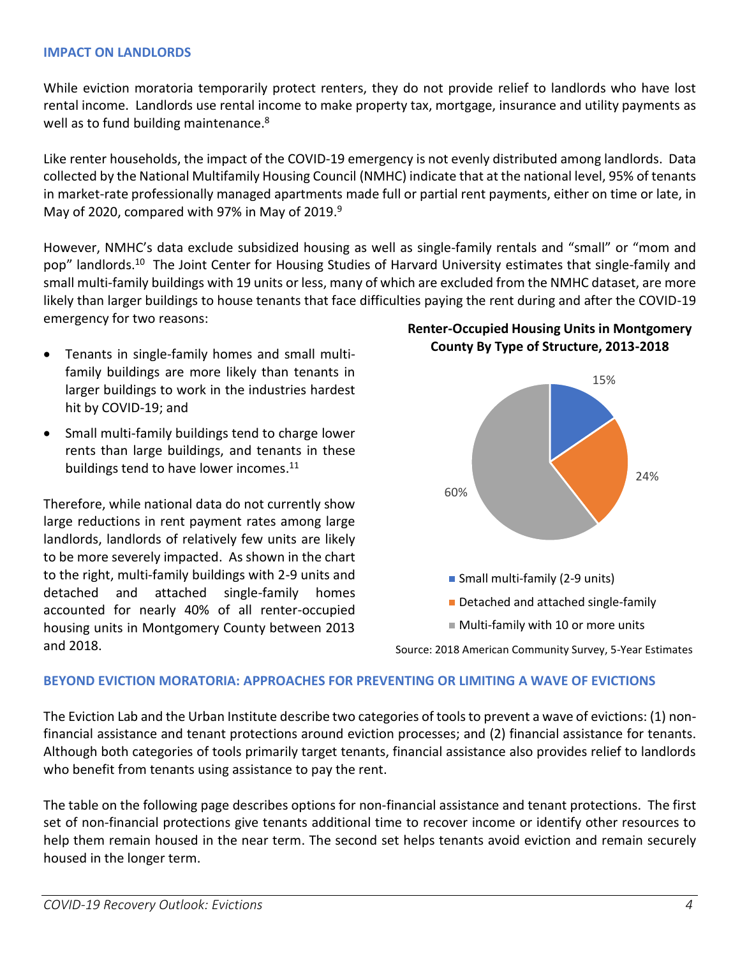#### **IMPACT ON LANDLORDS**

While eviction moratoria temporarily protect renters, they do not provide relief to landlords who have lost rental income. Landlords use rental income to make property tax, mortgage, insurance and utility payments as well as to fund building maintenance.<sup>8</sup>

Like renter households, the impact of the COVID-19 emergency is not evenly distributed among landlords. Data collected by the National Multifamily Housing Council (NMHC) indicate that at the national level, 95% of tenants in market-rate professionally managed apartments made full or partial rent payments, either on time or late, in May of 2020, compared with 97% in May of 2019.<sup>9</sup>

However, NMHC's data exclude subsidized housing as well as single-family rentals and "small" or "mom and pop" landlords.<sup>10</sup> The Joint Center for Housing Studies of Harvard University estimates that single-family and small multi-family buildings with 19 units or less, many of which are excluded from the NMHC dataset, are more likely than larger buildings to house tenants that face difficulties paying the rent during and after the COVID-19 emergency for two reasons:

- Tenants in single-family homes and small multifamily buildings are more likely than tenants in larger buildings to work in the industries hardest hit by COVID-19; and
- Small multi-family buildings tend to charge lower rents than large buildings, and tenants in these buildings tend to have lower incomes.<sup>11</sup>

Therefore, while national data do not currently show large reductions in rent payment rates among large landlords, landlords of relatively few units are likely to be more severely impacted. As shown in the chart to the right, multi-family buildings with 2-9 units and detached and attached single-family homes accounted for nearly 40% of all renter-occupied housing units in Montgomery County between 2013 and 2018.

**Renter-Occupied Housing Units in Montgomery County By Type of Structure, 2013-2018**



Source: 2018 American Community Survey, 5-Year Estimates

#### **BEYOND EVICTION MORATORIA: APPROACHES FOR PREVENTING OR LIMITING A WAVE OF EVICTIONS**

The Eviction Lab and the Urban Institute describe two categories of tools to prevent a wave of evictions: (1) nonfinancial assistance and tenant protections around eviction processes; and (2) financial assistance for tenants. Although both categories of tools primarily target tenants, financial assistance also provides relief to landlords who benefit from tenants using assistance to pay the rent.

The table on the following page describes options for non-financial assistance and tenant protections. The first set of non-financial protections give tenants additional time to recover income or identify other resources to help them remain housed in the near term. The second set helps tenants avoid eviction and remain securely housed in the longer term.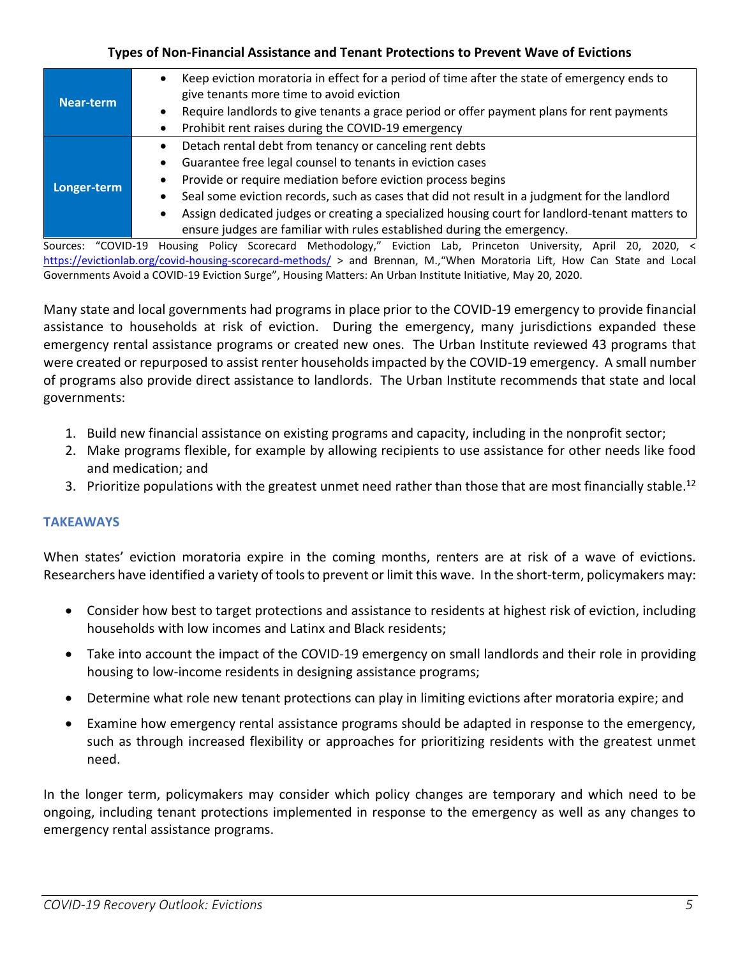## **Types of Non-Financial Assistance and Tenant Protections to Prevent Wave of Evictions**

| Near-term   | Keep eviction moratoria in effect for a period of time after the state of emergency ends to<br>$\bullet$<br>give tenants more time to avoid eviction |
|-------------|------------------------------------------------------------------------------------------------------------------------------------------------------|
|             | Require landlords to give tenants a grace period or offer payment plans for rent payments<br>$\bullet$                                               |
|             | Prohibit rent raises during the COVID-19 emergency<br>٠                                                                                              |
| Longer-term | Detach rental debt from tenancy or canceling rent debts<br>$\bullet$                                                                                 |
|             | Guarantee free legal counsel to tenants in eviction cases<br>٠                                                                                       |
|             | Provide or require mediation before eviction process begins<br>٠                                                                                     |
|             | Seal some eviction records, such as cases that did not result in a judgment for the landlord<br>٠                                                    |
|             | Assign dedicated judges or creating a specialized housing court for landlord-tenant matters to                                                       |
|             | ensure judges are familiar with rules established during the emergency.                                                                              |

Sources: "COVID-19 Housing Policy Scorecard Methodology," Eviction Lab, Princeton University, April 20, 2020, < <https://evictionlab.org/covid-housing-scorecard-methods/> > and Brennan, M.,"When Moratoria Lift, How Can State and Local Governments Avoid a COVID-19 Eviction Surge", Housing Matters: An Urban Institute Initiative, May 20, 2020.

Many state and local governments had programs in place prior to the COVID-19 emergency to provide financial assistance to households at risk of eviction. During the emergency, many jurisdictions expanded these emergency rental assistance programs or created new ones. The Urban Institute reviewed 43 programs that were created or repurposed to assist renter households impacted by the COVID-19 emergency. A small number of programs also provide direct assistance to landlords. The Urban Institute recommends that state and local governments:

- 1. Build new financial assistance on existing programs and capacity, including in the nonprofit sector;
- 2. Make programs flexible, for example by allowing recipients to use assistance for other needs like food and medication; and
- 3. Prioritize populations with the greatest unmet need rather than those that are most financially stable.<sup>12</sup>

# **TAKEAWAYS**

When states' eviction moratoria expire in the coming months, renters are at risk of a wave of evictions. Researchers have identified a variety of tools to prevent or limit this wave. In the short-term, policymakers may:

- Consider how best to target protections and assistance to residents at highest risk of eviction, including households with low incomes and Latinx and Black residents;
- Take into account the impact of the COVID-19 emergency on small landlords and their role in providing housing to low-income residents in designing assistance programs;
- Determine what role new tenant protections can play in limiting evictions after moratoria expire; and
- Examine how emergency rental assistance programs should be adapted in response to the emergency, such as through increased flexibility or approaches for prioritizing residents with the greatest unmet need.

In the longer term, policymakers may consider which policy changes are temporary and which need to be ongoing, including tenant protections implemented in response to the emergency as well as any changes to emergency rental assistance programs.